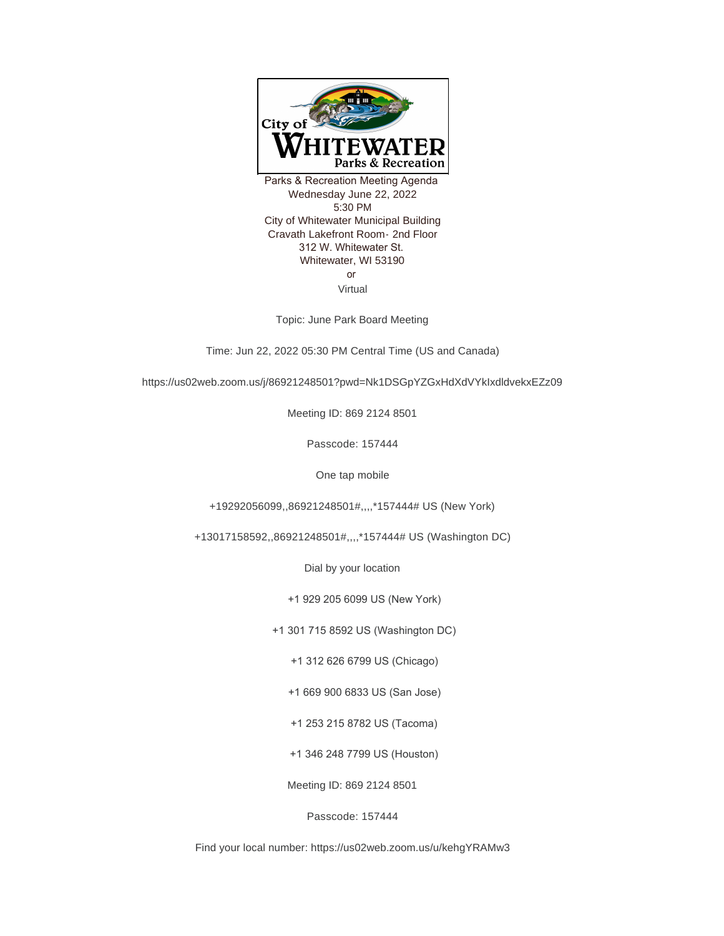

Parks & Recreation Meeting Agenda Wednesday June 22, 2022 5:30 PM City of Whitewater Municipal Building Cravath Lakefront Room- 2nd Floor 312 W. Whitewater St. Whitewater, WI 53190 or Virtual

Topic: June Park Board Meeting

Time: Jun 22, 2022 05:30 PM Central Time (US and Canada)

https://us02web.zoom.us/j/86921248501?pwd=Nk1DSGpYZGxHdXdVYkIxdldvekxEZz09

Meeting ID: 869 2124 8501

Passcode: 157444

One tap mobile

+19292056099,,86921248501#,,,,\*157444# US (New York)

+13017158592,,86921248501#,,,,\*157444# US (Washington DC)

Dial by your location

+1 929 205 6099 US (New York)

+1 301 715 8592 US (Washington DC)

+1 312 626 6799 US (Chicago)

+1 669 900 6833 US (San Jose)

+1 253 215 8782 US (Tacoma)

+1 346 248 7799 US (Houston)

Meeting ID: 869 2124 8501

Passcode: 157444

Find your local number: https://us02web.zoom.us/u/kehgYRAMw3